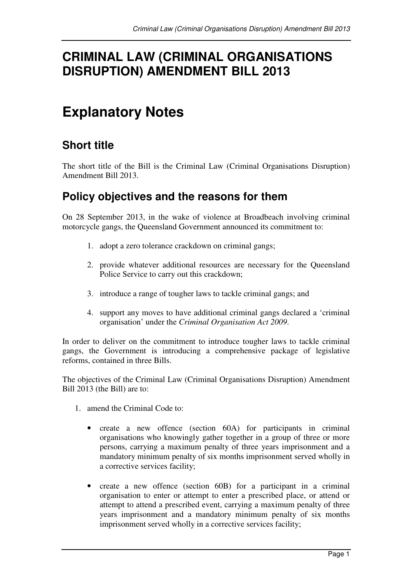# **CRIMINAL LAW (CRIMINAL ORGANISATIONS DISRUPTION) AMENDMENT BILL 2013**

# **Explanatory Notes**

# **Short title**

The short title of the Bill is the Criminal Law (Criminal Organisations Disruption) Amendment Bill 2013.

# **Policy objectives and the reasons for them**

On 28 September 2013, in the wake of violence at Broadbeach involving criminal motorcycle gangs, the Queensland Government announced its commitment to:

- 1. adopt a zero tolerance crackdown on criminal gangs;
- 2. provide whatever additional resources are necessary for the Queensland Police Service to carry out this crackdown;
- 3. introduce a range of tougher laws to tackle criminal gangs; and
- 4. support any moves to have additional criminal gangs declared a 'criminal organisation' under the *Criminal Organisation Act 2009*.

In order to deliver on the commitment to introduce tougher laws to tackle criminal gangs, the Government is introducing a comprehensive package of legislative reforms, contained in three Bills.

The objectives of the Criminal Law (Criminal Organisations Disruption) Amendment Bill 2013 (the Bill) are to:

- 1. amend the Criminal Code to:
	- create a new offence (section 60A) for participants in criminal organisations who knowingly gather together in a group of three or more persons, carrying a maximum penalty of three years imprisonment and a mandatory minimum penalty of six months imprisonment served wholly in a corrective services facility;
	- create a new offence (section 60B) for a participant in a criminal organisation to enter or attempt to enter a prescribed place, or attend or attempt to attend a prescribed event, carrying a maximum penalty of three years imprisonment and a mandatory minimum penalty of six months imprisonment served wholly in a corrective services facility;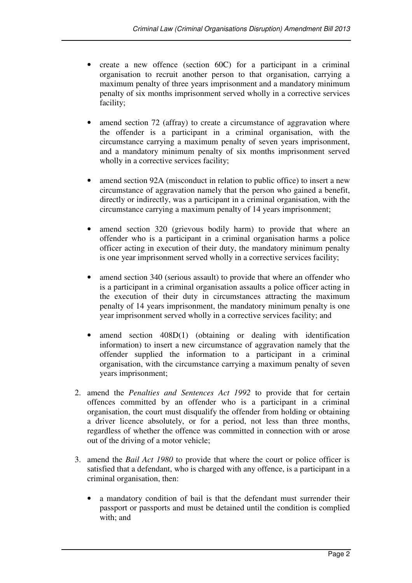- create a new offence (section 60C) for a participant in a criminal organisation to recruit another person to that organisation, carrying a maximum penalty of three years imprisonment and a mandatory minimum penalty of six months imprisonment served wholly in a corrective services facility;
- amend section 72 (affray) to create a circumstance of aggravation where the offender is a participant in a criminal organisation, with the circumstance carrying a maximum penalty of seven years imprisonment, and a mandatory minimum penalty of six months imprisonment served wholly in a corrective services facility;
- amend section 92A (misconduct in relation to public office) to insert a new circumstance of aggravation namely that the person who gained a benefit, directly or indirectly, was a participant in a criminal organisation, with the circumstance carrying a maximum penalty of 14 years imprisonment;
- amend section 320 (grievous bodily harm) to provide that where an offender who is a participant in a criminal organisation harms a police officer acting in execution of their duty, the mandatory minimum penalty is one year imprisonment served wholly in a corrective services facility;
- amend section 340 (serious assault) to provide that where an offender who is a participant in a criminal organisation assaults a police officer acting in the execution of their duty in circumstances attracting the maximum penalty of 14 years imprisonment, the mandatory minimum penalty is one year imprisonment served wholly in a corrective services facility; and
- amend section 408D(1) (obtaining or dealing with identification information) to insert a new circumstance of aggravation namely that the offender supplied the information to a participant in a criminal organisation, with the circumstance carrying a maximum penalty of seven years imprisonment;
- 2. amend the *Penalties and Sentences Act 1992* to provide that for certain offences committed by an offender who is a participant in a criminal organisation, the court must disqualify the offender from holding or obtaining a driver licence absolutely, or for a period, not less than three months, regardless of whether the offence was committed in connection with or arose out of the driving of a motor vehicle;
- 3. amend the *Bail Act 1980* to provide that where the court or police officer is satisfied that a defendant, who is charged with any offence, is a participant in a criminal organisation, then:
	- a mandatory condition of bail is that the defendant must surrender their passport or passports and must be detained until the condition is complied with; and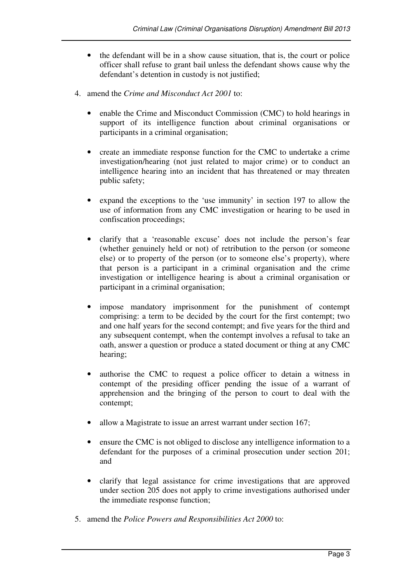- the defendant will be in a show cause situation, that is, the court or police officer shall refuse to grant bail unless the defendant shows cause why the defendant's detention in custody is not justified;
- 4. amend the *Crime and Misconduct Act 2001* to:
	- enable the Crime and Misconduct Commission (CMC) to hold hearings in support of its intelligence function about criminal organisations or participants in a criminal organisation;
	- create an immediate response function for the CMC to undertake a crime investigation/hearing (not just related to major crime) or to conduct an intelligence hearing into an incident that has threatened or may threaten public safety;
	- expand the exceptions to the 'use immunity' in section 197 to allow the use of information from any CMC investigation or hearing to be used in confiscation proceedings;
	- clarify that a 'reasonable excuse' does not include the person's fear (whether genuinely held or not) of retribution to the person (or someone else) or to property of the person (or to someone else's property), where that person is a participant in a criminal organisation and the crime investigation or intelligence hearing is about a criminal organisation or participant in a criminal organisation;
	- impose mandatory imprisonment for the punishment of contempt comprising: a term to be decided by the court for the first contempt; two and one half years for the second contempt; and five years for the third and any subsequent contempt, when the contempt involves a refusal to take an oath, answer a question or produce a stated document or thing at any CMC hearing;
	- authorise the CMC to request a police officer to detain a witness in contempt of the presiding officer pending the issue of a warrant of apprehension and the bringing of the person to court to deal with the contempt;
	- allow a Magistrate to issue an arrest warrant under section 167;
	- ensure the CMC is not obliged to disclose any intelligence information to a defendant for the purposes of a criminal prosecution under section 201; and
	- clarify that legal assistance for crime investigations that are approved under section 205 does not apply to crime investigations authorised under the immediate response function;
- 5. amend the *Police Powers and Responsibilities Act 2000* to: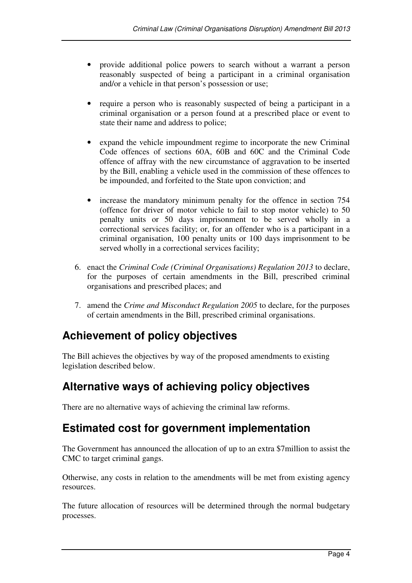- provide additional police powers to search without a warrant a person reasonably suspected of being a participant in a criminal organisation and/or a vehicle in that person's possession or use;
- require a person who is reasonably suspected of being a participant in a criminal organisation or a person found at a prescribed place or event to state their name and address to police;
- expand the vehicle impoundment regime to incorporate the new Criminal Code offences of sections 60A, 60B and 60C and the Criminal Code offence of affray with the new circumstance of aggravation to be inserted by the Bill, enabling a vehicle used in the commission of these offences to be impounded, and forfeited to the State upon conviction; and
- increase the mandatory minimum penalty for the offence in section 754 (offence for driver of motor vehicle to fail to stop motor vehicle) to 50 penalty units or 50 days imprisonment to be served wholly in a correctional services facility; or, for an offender who is a participant in a criminal organisation, 100 penalty units or 100 days imprisonment to be served wholly in a correctional services facility;
- 6. enact the *Criminal Code (Criminal Organisations) Regulation 2013* to declare, for the purposes of certain amendments in the Bill, prescribed criminal organisations and prescribed places; and
- 7. amend the *Crime and Misconduct Regulation 2005* to declare, for the purposes of certain amendments in the Bill, prescribed criminal organisations.

# **Achievement of policy objectives**

The Bill achieves the objectives by way of the proposed amendments to existing legislation described below.

# **Alternative ways of achieving policy objectives**

There are no alternative ways of achieving the criminal law reforms.

## **Estimated cost for government implementation**

The Government has announced the allocation of up to an extra \$7million to assist the CMC to target criminal gangs.

Otherwise, any costs in relation to the amendments will be met from existing agency resources.

The future allocation of resources will be determined through the normal budgetary processes.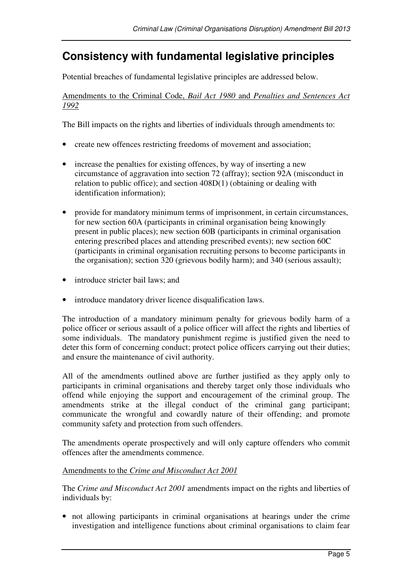# **Consistency with fundamental legislative principles**

Potential breaches of fundamental legislative principles are addressed below.

Amendments to the Criminal Code, *Bail Act 1980* and *Penalties and Sentences Act 1992*

The Bill impacts on the rights and liberties of individuals through amendments to:

- create new offences restricting freedoms of movement and association;
- increase the penalties for existing offences, by way of inserting a new circumstance of aggravation into section 72 (affray); section 92A (misconduct in relation to public office); and section 408D(1) (obtaining or dealing with identification information);
- provide for mandatory minimum terms of imprisonment, in certain circumstances, for new section 60A (participants in criminal organisation being knowingly present in public places); new section 60B (participants in criminal organisation entering prescribed places and attending prescribed events); new section 60C (participants in criminal organisation recruiting persons to become participants in the organisation); section 320 (grievous bodily harm); and 340 (serious assault);
- introduce stricter bail laws; and
- introduce mandatory driver licence disqualification laws.

The introduction of a mandatory minimum penalty for grievous bodily harm of a police officer or serious assault of a police officer will affect the rights and liberties of some individuals. The mandatory punishment regime is justified given the need to deter this form of concerning conduct; protect police officers carrying out their duties; and ensure the maintenance of civil authority.

All of the amendments outlined above are further justified as they apply only to participants in criminal organisations and thereby target only those individuals who offend while enjoying the support and encouragement of the criminal group. The amendments strike at the illegal conduct of the criminal gang participant; communicate the wrongful and cowardly nature of their offending; and promote community safety and protection from such offenders.

The amendments operate prospectively and will only capture offenders who commit offences after the amendments commence.

#### Amendments to the *Crime and Misconduct Act 2001*

The *Crime and Misconduct Act 2001* amendments impact on the rights and liberties of individuals by:

• not allowing participants in criminal organisations at hearings under the crime investigation and intelligence functions about criminal organisations to claim fear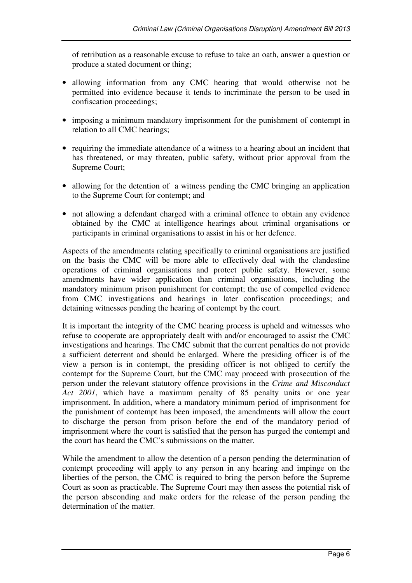of retribution as a reasonable excuse to refuse to take an oath, answer a question or produce a stated document or thing;

- allowing information from any CMC hearing that would otherwise not be permitted into evidence because it tends to incriminate the person to be used in confiscation proceedings;
- imposing a minimum mandatory imprisonment for the punishment of contempt in relation to all CMC hearings;
- requiring the immediate attendance of a witness to a hearing about an incident that has threatened, or may threaten, public safety, without prior approval from the Supreme Court;
- allowing for the detention of a witness pending the CMC bringing an application to the Supreme Court for contempt; and
- not allowing a defendant charged with a criminal offence to obtain any evidence obtained by the CMC at intelligence hearings about criminal organisations or participants in criminal organisations to assist in his or her defence.

Aspects of the amendments relating specifically to criminal organisations are justified on the basis the CMC will be more able to effectively deal with the clandestine operations of criminal organisations and protect public safety. However, some amendments have wider application than criminal organisations, including the mandatory minimum prison punishment for contempt; the use of compelled evidence from CMC investigations and hearings in later confiscation proceedings; and detaining witnesses pending the hearing of contempt by the court.

It is important the integrity of the CMC hearing process is upheld and witnesses who refuse to cooperate are appropriately dealt with and/or encouraged to assist the CMC investigations and hearings. The CMC submit that the current penalties do not provide a sufficient deterrent and should be enlarged. Where the presiding officer is of the view a person is in contempt, the presiding officer is not obliged to certify the contempt for the Supreme Court, but the CMC may proceed with prosecution of the person under the relevant statutory offence provisions in the *Crime and Misconduct Act 2001*, which have a maximum penalty of 85 penalty units or one year imprisonment. In addition, where a mandatory minimum period of imprisonment for the punishment of contempt has been imposed, the amendments will allow the court to discharge the person from prison before the end of the mandatory period of imprisonment where the court is satisfied that the person has purged the contempt and the court has heard the CMC's submissions on the matter.

While the amendment to allow the detention of a person pending the determination of contempt proceeding will apply to any person in any hearing and impinge on the liberties of the person, the CMC is required to bring the person before the Supreme Court as soon as practicable. The Supreme Court may then assess the potential risk of the person absconding and make orders for the release of the person pending the determination of the matter.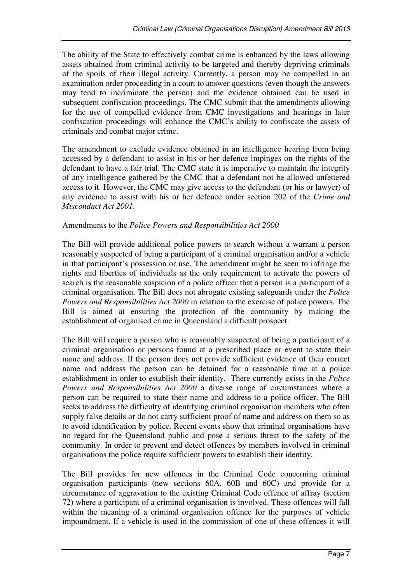The ability of the State to effectively combat crime is enhanced by the laws allowing assets obtained from criminal activity to be targeted and thereby depriving criminals of the spoils of their illegal activity. Currently, a person may be compelled in an examination order proceeding in a court to answer questions (even though the answers may tend to incriminate the person) and the evidence obtained can be used in subsequent confiscation proceedings. The CMC submit that the amendments allowing for the use of compelled evidence from CMC investigations and hearings in later confiscation proceedings will enhance the CMC's ability to confiscate the assets of criminals and combat major crime.

The amendment to exclude evidence obtained in an intelligence hearing from being accessed by a defendant to assist in his or her defence impinges on the rights of the defendant to have a fair trial. The CMC state it is imperative to maintain the integrity of any intelligence gathered by the CMC that a defendant not be allowed unfettered access to it. However, the CMC may give access to the defendant (or his or lawyer) of any evidence to assist with his or her defence under section 202 of the *Crime and Misconduct Act 2001*.

#### Amendments to the *Police Powers and Responsibilities Act 2000*

The Bill will provide additional police powers to search without a warrant a person reasonably suspected of being a participant of a criminal organisation and/or a vehicle in that participant's possession or use. The amendment might be seen to infringe the rights and liberties of individuals as the only requirement to activate the powers of search is the reasonable suspicion of a police officer that a person is a participant of a criminal organisation. The Bill does not abrogate existing safeguards under the *Police Powers and Responsibilities Act 2000* in relation to the exercise of police powers. The Bill is aimed at ensuring the protection of the community by making the establishment of organised crime in Queensland a difficult prospect.

The Bill will require a person who is reasonably suspected of being a participant of a criminal organisation or persons found at a prescribed place or event to state their name and address. If the person does not provide sufficient evidence of their correct name and address the person can be detained for a reasonable time at a police establishment in order to establish their identity. There currently exists in the *Police Powers and Responsibilities Act 2000* a diverse range of circumstances where a person can be required to state their name and address to a police officer. The Bill seeks to address the difficulty of identifying criminal organisation members who often supply false details or do not carry sufficient proof of name and address on them so as to avoid identification by police. Recent events show that criminal organisations have no regard for the Queensland public and pose a serious threat to the safety of the community. In order to prevent and detect offences by members involved in criminal organisations the police require sufficient powers to establish their identity.

The Bill provides for new offences in the Criminal Code concerning criminal organisation participants (new sections 60A, 60B and 60C) and provide for a circumstance of aggravation to the existing Criminal Code offence of affray (section 72) where a participant of a criminal organisation is involved. These offences will fall within the meaning of a criminal organisation offence for the purposes of vehicle impoundment. If a vehicle is used in the commission of one of these offences it will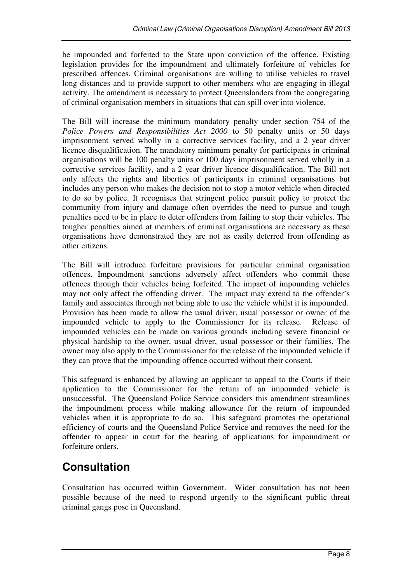be impounded and forfeited to the State upon conviction of the offence. Existing legislation provides for the impoundment and ultimately forfeiture of vehicles for prescribed offences. Criminal organisations are willing to utilise vehicles to travel long distances and to provide support to other members who are engaging in illegal activity. The amendment is necessary to protect Queenslanders from the congregating of criminal organisation members in situations that can spill over into violence.

The Bill will increase the minimum mandatory penalty under section 754 of the *Police Powers and Responsibilities Act 2000* to 50 penalty units or 50 days imprisonment served wholly in a corrective services facility, and a 2 year driver licence disqualification. The mandatory minimum penalty for participants in criminal organisations will be 100 penalty units or 100 days imprisonment served wholly in a corrective services facility, and a 2 year driver licence disqualification. The Bill not only affects the rights and liberties of participants in criminal organisations but includes any person who makes the decision not to stop a motor vehicle when directed to do so by police. It recognises that stringent police pursuit policy to protect the community from injury and damage often overrides the need to pursue and tough penalties need to be in place to deter offenders from failing to stop their vehicles. The tougher penalties aimed at members of criminal organisations are necessary as these organisations have demonstrated they are not as easily deterred from offending as other citizens.

The Bill will introduce forfeiture provisions for particular criminal organisation offences. Impoundment sanctions adversely affect offenders who commit these offences through their vehicles being forfeited. The impact of impounding vehicles may not only affect the offending driver. The impact may extend to the offender's family and associates through not being able to use the vehicle whilst it is impounded. Provision has been made to allow the usual driver, usual possessor or owner of the impounded vehicle to apply to the Commissioner for its release. Release of impounded vehicles can be made on various grounds including severe financial or physical hardship to the owner, usual driver, usual possessor or their families. The owner may also apply to the Commissioner for the release of the impounded vehicle if they can prove that the impounding offence occurred without their consent.

This safeguard is enhanced by allowing an applicant to appeal to the Courts if their application to the Commissioner for the return of an impounded vehicle is unsuccessful. The Queensland Police Service considers this amendment streamlines the impoundment process while making allowance for the return of impounded vehicles when it is appropriate to do so. This safeguard promotes the operational efficiency of courts and the Queensland Police Service and removes the need for the offender to appear in court for the hearing of applications for impoundment or forfeiture orders.

# **Consultation**

Consultation has occurred within Government. Wider consultation has not been possible because of the need to respond urgently to the significant public threat criminal gangs pose in Queensland.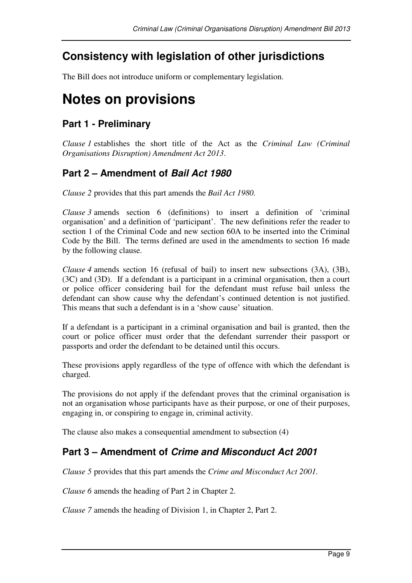# **Consistency with legislation of other jurisdictions**

The Bill does not introduce uniform or complementary legislation.

# **Notes on provisions**

### **Part 1 - Preliminary**

*Clause 1* establishes the short title of the Act as the *Criminal Law (Criminal Organisations Disruption) Amendment Act 2013*.

## **Part 2 – Amendment of Bail Act 1980**

*Clause 2* provides that this part amends the *Bail Act 1980.*

*Clause 3* amends section 6 (definitions) to insert a definition of 'criminal organisation' and a definition of 'participant'. The new definitions refer the reader to section 1 of the Criminal Code and new section 60A to be inserted into the Criminal Code by the Bill. The terms defined are used in the amendments to section 16 made by the following clause.

*Clause 4* amends section 16 (refusal of bail) to insert new subsections (3A), (3B), (3C) and (3D). If a defendant is a participant in a criminal organisation, then a court or police officer considering bail for the defendant must refuse bail unless the defendant can show cause why the defendant's continued detention is not justified. This means that such a defendant is in a 'show cause' situation.

If a defendant is a participant in a criminal organisation and bail is granted, then the court or police officer must order that the defendant surrender their passport or passports and order the defendant to be detained until this occurs.

These provisions apply regardless of the type of offence with which the defendant is charged.

The provisions do not apply if the defendant proves that the criminal organisation is not an organisation whose participants have as their purpose, or one of their purposes, engaging in, or conspiring to engage in, criminal activity.

The clause also makes a consequential amendment to subsection (4)

## **Part 3 – Amendment of Crime and Misconduct Act 2001**

*Clause 5* provides that this part amends the *Crime and Misconduct Act 2001.*

*Clause 6* amends the heading of Part 2 in Chapter 2.

*Clause 7* amends the heading of Division 1, in Chapter 2, Part 2.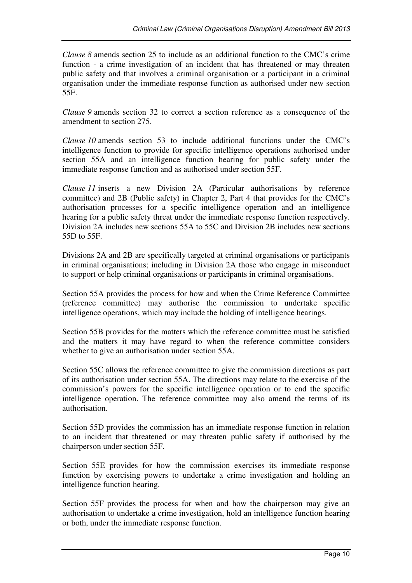*Clause 8* amends section 25 to include as an additional function to the CMC's crime function - a crime investigation of an incident that has threatened or may threaten public safety and that involves a criminal organisation or a participant in a criminal organisation under the immediate response function as authorised under new section 55F.

*Clause 9* amends section 32 to correct a section reference as a consequence of the amendment to section 275.

*Clause 10* amends section 53 to include additional functions under the CMC's intelligence function to provide for specific intelligence operations authorised under section 55A and an intelligence function hearing for public safety under the immediate response function and as authorised under section 55F.

*Clause 11* inserts a new Division 2A (Particular authorisations by reference committee) and 2B (Public safety) in Chapter 2, Part 4 that provides for the CMC's authorisation processes for a specific intelligence operation and an intelligence hearing for a public safety threat under the immediate response function respectively. Division 2A includes new sections 55A to 55C and Division 2B includes new sections 55D to 55F.

Divisions 2A and 2B are specifically targeted at criminal organisations or participants in criminal organisations; including in Division 2A those who engage in misconduct to support or help criminal organisations or participants in criminal organisations.

Section 55A provides the process for how and when the Crime Reference Committee (reference committee) may authorise the commission to undertake specific intelligence operations, which may include the holding of intelligence hearings.

Section 55B provides for the matters which the reference committee must be satisfied and the matters it may have regard to when the reference committee considers whether to give an authorisation under section 55A.

Section 55C allows the reference committee to give the commission directions as part of its authorisation under section 55A. The directions may relate to the exercise of the commission's powers for the specific intelligence operation or to end the specific intelligence operation. The reference committee may also amend the terms of its authorisation.

Section 55D provides the commission has an immediate response function in relation to an incident that threatened or may threaten public safety if authorised by the chairperson under section 55F.

Section 55E provides for how the commission exercises its immediate response function by exercising powers to undertake a crime investigation and holding an intelligence function hearing.

Section 55F provides the process for when and how the chairperson may give an authorisation to undertake a crime investigation, hold an intelligence function hearing or both, under the immediate response function.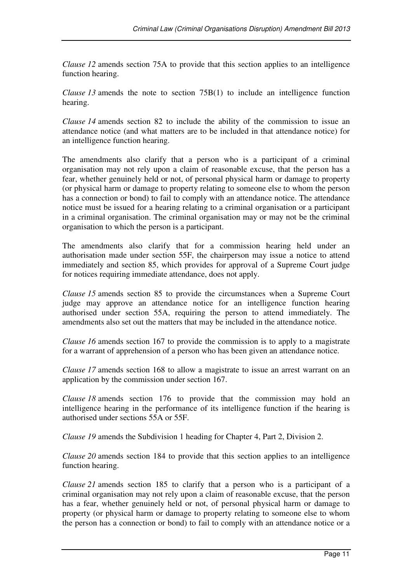*Clause 12* amends section 75A to provide that this section applies to an intelligence function hearing.

*Clause 13* amends the note to section 75B(1) to include an intelligence function hearing.

*Clause 14* amends section 82 to include the ability of the commission to issue an attendance notice (and what matters are to be included in that attendance notice) for an intelligence function hearing.

The amendments also clarify that a person who is a participant of a criminal organisation may not rely upon a claim of reasonable excuse, that the person has a fear, whether genuinely held or not, of personal physical harm or damage to property (or physical harm or damage to property relating to someone else to whom the person has a connection or bond) to fail to comply with an attendance notice. The attendance notice must be issued for a hearing relating to a criminal organisation or a participant in a criminal organisation. The criminal organisation may or may not be the criminal organisation to which the person is a participant.

The amendments also clarify that for a commission hearing held under an authorisation made under section 55F, the chairperson may issue a notice to attend immediately and section 85, which provides for approval of a Supreme Court judge for notices requiring immediate attendance, does not apply.

*Clause 15* amends section 85 to provide the circumstances when a Supreme Court judge may approve an attendance notice for an intelligence function hearing authorised under section 55A, requiring the person to attend immediately. The amendments also set out the matters that may be included in the attendance notice.

*Clause 16* amends section 167 to provide the commission is to apply to a magistrate for a warrant of apprehension of a person who has been given an attendance notice.

*Clause 17* amends section 168 to allow a magistrate to issue an arrest warrant on an application by the commission under section 167.

*Clause 18* amends section 176 to provide that the commission may hold an intelligence hearing in the performance of its intelligence function if the hearing is authorised under sections 55A or 55F.

*Clause 19* amends the Subdivision 1 heading for Chapter 4, Part 2, Division 2.

*Clause 20* amends section 184 to provide that this section applies to an intelligence function hearing.

*Clause 21* amends section 185 to clarify that a person who is a participant of a criminal organisation may not rely upon a claim of reasonable excuse, that the person has a fear, whether genuinely held or not, of personal physical harm or damage to property (or physical harm or damage to property relating to someone else to whom the person has a connection or bond) to fail to comply with an attendance notice or a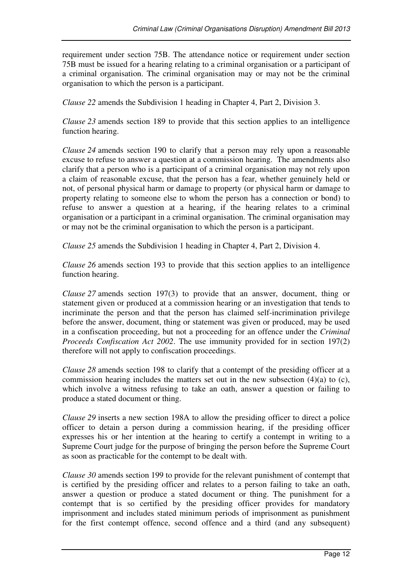requirement under section 75B. The attendance notice or requirement under section 75B must be issued for a hearing relating to a criminal organisation or a participant of a criminal organisation. The criminal organisation may or may not be the criminal organisation to which the person is a participant.

*Clause 22* amends the Subdivision 1 heading in Chapter 4, Part 2, Division 3.

*Clause 23* amends section 189 to provide that this section applies to an intelligence function hearing.

*Clause 24* amends section 190 to clarify that a person may rely upon a reasonable excuse to refuse to answer a question at a commission hearing. The amendments also clarify that a person who is a participant of a criminal organisation may not rely upon a claim of reasonable excuse, that the person has a fear, whether genuinely held or not, of personal physical harm or damage to property (or physical harm or damage to property relating to someone else to whom the person has a connection or bond) to refuse to answer a question at a hearing, if the hearing relates to a criminal organisation or a participant in a criminal organisation. The criminal organisation may or may not be the criminal organisation to which the person is a participant.

*Clause 25* amends the Subdivision 1 heading in Chapter 4, Part 2, Division 4.

*Clause 26* amends section 193 to provide that this section applies to an intelligence function hearing.

*Clause 27* amends section 197(3) to provide that an answer, document, thing or statement given or produced at a commission hearing or an investigation that tends to incriminate the person and that the person has claimed self-incrimination privilege before the answer, document, thing or statement was given or produced, may be used in a confiscation proceeding, but not a proceeding for an offence under the *Criminal Proceeds Confiscation Act 2002*. The use immunity provided for in section 197(2) therefore will not apply to confiscation proceedings.

*Clause 28* amends section 198 to clarify that a contempt of the presiding officer at a commission hearing includes the matters set out in the new subsection (4)(a) to (c), which involve a witness refusing to take an oath, answer a question or failing to produce a stated document or thing.

*Clause 29* inserts a new section 198A to allow the presiding officer to direct a police officer to detain a person during a commission hearing, if the presiding officer expresses his or her intention at the hearing to certify a contempt in writing to a Supreme Court judge for the purpose of bringing the person before the Supreme Court as soon as practicable for the contempt to be dealt with.

*Clause 30* amends section 199 to provide for the relevant punishment of contempt that is certified by the presiding officer and relates to a person failing to take an oath, answer a question or produce a stated document or thing. The punishment for a contempt that is so certified by the presiding officer provides for mandatory imprisonment and includes stated minimum periods of imprisonment as punishment for the first contempt offence, second offence and a third (and any subsequent)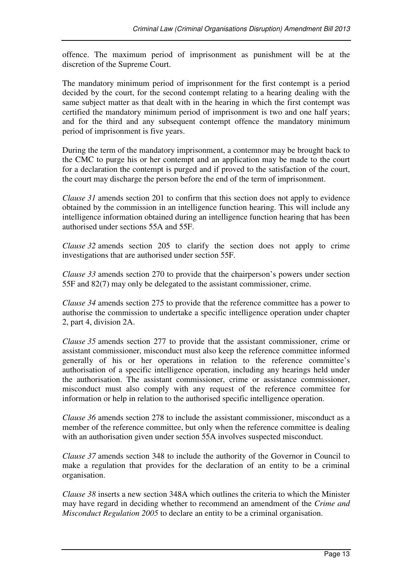offence. The maximum period of imprisonment as punishment will be at the discretion of the Supreme Court.

The mandatory minimum period of imprisonment for the first contempt is a period decided by the court, for the second contempt relating to a hearing dealing with the same subject matter as that dealt with in the hearing in which the first contempt was certified the mandatory minimum period of imprisonment is two and one half years; and for the third and any subsequent contempt offence the mandatory minimum period of imprisonment is five years.

During the term of the mandatory imprisonment, a contemnor may be brought back to the CMC to purge his or her contempt and an application may be made to the court for a declaration the contempt is purged and if proved to the satisfaction of the court, the court may discharge the person before the end of the term of imprisonment.

*Clause 31* amends section 201 to confirm that this section does not apply to evidence obtained by the commission in an intelligence function hearing. This will include any intelligence information obtained during an intelligence function hearing that has been authorised under sections 55A and 55F.

*Clause 32* amends section 205 to clarify the section does not apply to crime investigations that are authorised under section 55F.

*Clause 33* amends section 270 to provide that the chairperson's powers under section 55F and 82(7) may only be delegated to the assistant commissioner, crime.

*Clause 34* amends section 275 to provide that the reference committee has a power to authorise the commission to undertake a specific intelligence operation under chapter 2, part 4, division 2A.

*Clause 35* amends section 277 to provide that the assistant commissioner, crime or assistant commissioner, misconduct must also keep the reference committee informed generally of his or her operations in relation to the reference committee's authorisation of a specific intelligence operation, including any hearings held under the authorisation. The assistant commissioner, crime or assistance commissioner, misconduct must also comply with any request of the reference committee for information or help in relation to the authorised specific intelligence operation.

*Clause 36* amends section 278 to include the assistant commissioner, misconduct as a member of the reference committee, but only when the reference committee is dealing with an authorisation given under section 55A involves suspected misconduct.

*Clause 37* amends section 348 to include the authority of the Governor in Council to make a regulation that provides for the declaration of an entity to be a criminal organisation.

*Clause 38* inserts a new section 348A which outlines the criteria to which the Minister may have regard in deciding whether to recommend an amendment of the *Crime and Misconduct Regulation 2005* to declare an entity to be a criminal organisation.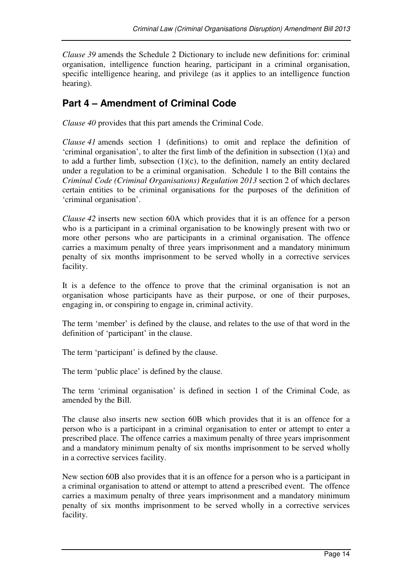*Clause 39* amends the Schedule 2 Dictionary to include new definitions for: criminal organisation, intelligence function hearing, participant in a criminal organisation, specific intelligence hearing, and privilege (as it applies to an intelligence function hearing).

## **Part 4 – Amendment of Criminal Code**

*Clause 40* provides that this part amends the Criminal Code.

*Clause 41* amends section 1 (definitions) to omit and replace the definition of 'criminal organisation', to alter the first limb of the definition in subsection (1)(a) and to add a further limb, subsection  $(1)(c)$ , to the definition, namely an entity declared under a regulation to be a criminal organisation. Schedule 1 to the Bill contains the *Criminal Code (Criminal Organisations) Regulation 2013* section 2 of which declares certain entities to be criminal organisations for the purposes of the definition of 'criminal organisation'.

*Clause 42* inserts new section 60A which provides that it is an offence for a person who is a participant in a criminal organisation to be knowingly present with two or more other persons who are participants in a criminal organisation. The offence carries a maximum penalty of three years imprisonment and a mandatory minimum penalty of six months imprisonment to be served wholly in a corrective services facility.

It is a defence to the offence to prove that the criminal organisation is not an organisation whose participants have as their purpose, or one of their purposes, engaging in, or conspiring to engage in, criminal activity.

The term 'member' is defined by the clause, and relates to the use of that word in the definition of 'participant' in the clause.

The term 'participant' is defined by the clause.

The term 'public place' is defined by the clause.

The term 'criminal organisation' is defined in section 1 of the Criminal Code, as amended by the Bill.

The clause also inserts new section 60B which provides that it is an offence for a person who is a participant in a criminal organisation to enter or attempt to enter a prescribed place. The offence carries a maximum penalty of three years imprisonment and a mandatory minimum penalty of six months imprisonment to be served wholly in a corrective services facility.

New section 60B also provides that it is an offence for a person who is a participant in a criminal organisation to attend or attempt to attend a prescribed event. The offence carries a maximum penalty of three years imprisonment and a mandatory minimum penalty of six months imprisonment to be served wholly in a corrective services facility.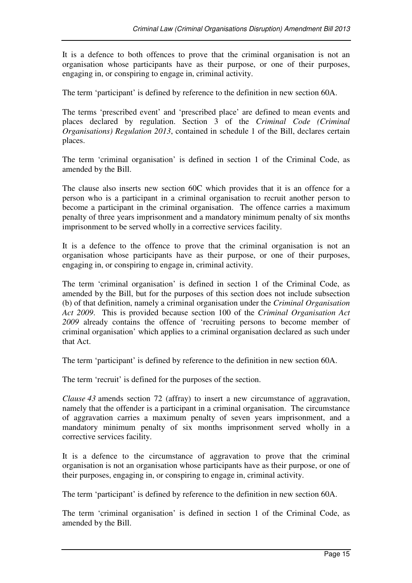It is a defence to both offences to prove that the criminal organisation is not an organisation whose participants have as their purpose, or one of their purposes, engaging in, or conspiring to engage in, criminal activity.

The term 'participant' is defined by reference to the definition in new section 60A.

The terms 'prescribed event' and 'prescribed place' are defined to mean events and places declared by regulation. Section 3 of the *Criminal Code (Criminal Organisations) Regulation 2013*, contained in schedule 1 of the Bill, declares certain places.

The term 'criminal organisation' is defined in section 1 of the Criminal Code, as amended by the Bill.

The clause also inserts new section 60C which provides that it is an offence for a person who is a participant in a criminal organisation to recruit another person to become a participant in the criminal organisation. The offence carries a maximum penalty of three years imprisonment and a mandatory minimum penalty of six months imprisonment to be served wholly in a corrective services facility.

It is a defence to the offence to prove that the criminal organisation is not an organisation whose participants have as their purpose, or one of their purposes, engaging in, or conspiring to engage in, criminal activity.

The term 'criminal organisation' is defined in section 1 of the Criminal Code, as amended by the Bill, but for the purposes of this section does not include subsection (b) of that definition, namely a criminal organisation under the *Criminal Organisation Act 2009*. This is provided because section 100 of the *Criminal Organisation Act 2009* already contains the offence of 'recruiting persons to become member of criminal organisation' which applies to a criminal organisation declared as such under that Act.

The term 'participant' is defined by reference to the definition in new section 60A.

The term 'recruit' is defined for the purposes of the section.

*Clause 43* amends section 72 (affray) to insert a new circumstance of aggravation, namely that the offender is a participant in a criminal organisation. The circumstance of aggravation carries a maximum penalty of seven years imprisonment, and a mandatory minimum penalty of six months imprisonment served wholly in a corrective services facility.

It is a defence to the circumstance of aggravation to prove that the criminal organisation is not an organisation whose participants have as their purpose, or one of their purposes, engaging in, or conspiring to engage in, criminal activity.

The term 'participant' is defined by reference to the definition in new section 60A.

The term 'criminal organisation' is defined in section 1 of the Criminal Code, as amended by the Bill.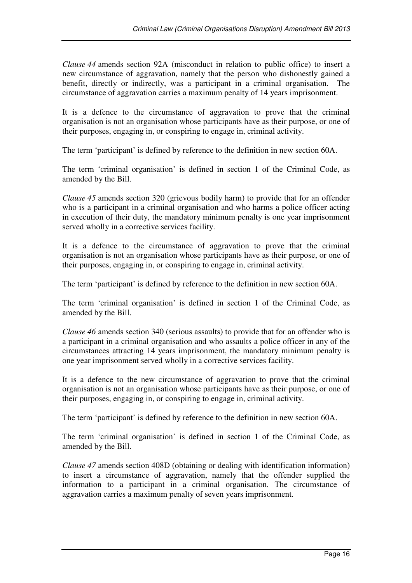*Clause 44* amends section 92A (misconduct in relation to public office) to insert a new circumstance of aggravation, namely that the person who dishonestly gained a benefit, directly or indirectly, was a participant in a criminal organisation. The circumstance of aggravation carries a maximum penalty of 14 years imprisonment.

It is a defence to the circumstance of aggravation to prove that the criminal organisation is not an organisation whose participants have as their purpose, or one of their purposes, engaging in, or conspiring to engage in, criminal activity.

The term 'participant' is defined by reference to the definition in new section 60A.

The term 'criminal organisation' is defined in section 1 of the Criminal Code, as amended by the Bill.

*Clause 45* amends section 320 (grievous bodily harm) to provide that for an offender who is a participant in a criminal organisation and who harms a police officer acting in execution of their duty, the mandatory minimum penalty is one year imprisonment served wholly in a corrective services facility.

It is a defence to the circumstance of aggravation to prove that the criminal organisation is not an organisation whose participants have as their purpose, or one of their purposes, engaging in, or conspiring to engage in, criminal activity.

The term 'participant' is defined by reference to the definition in new section 60A.

The term 'criminal organisation' is defined in section 1 of the Criminal Code, as amended by the Bill.

*Clause 46* amends section 340 (serious assaults) to provide that for an offender who is a participant in a criminal organisation and who assaults a police officer in any of the circumstances attracting 14 years imprisonment, the mandatory minimum penalty is one year imprisonment served wholly in a corrective services facility.

It is a defence to the new circumstance of aggravation to prove that the criminal organisation is not an organisation whose participants have as their purpose, or one of their purposes, engaging in, or conspiring to engage in, criminal activity.

The term 'participant' is defined by reference to the definition in new section 60A.

The term 'criminal organisation' is defined in section 1 of the Criminal Code, as amended by the Bill.

*Clause 47* amends section 408D (obtaining or dealing with identification information) to insert a circumstance of aggravation, namely that the offender supplied the information to a participant in a criminal organisation. The circumstance of aggravation carries a maximum penalty of seven years imprisonment.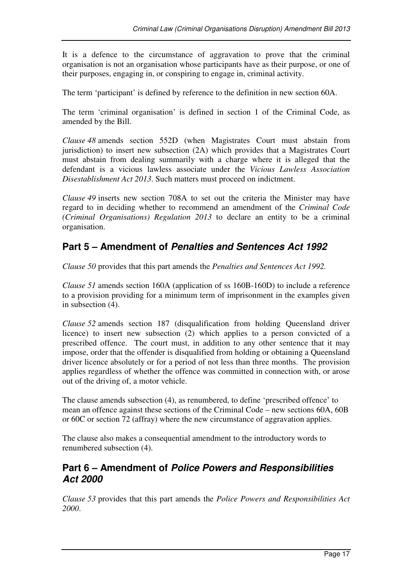It is a defence to the circumstance of aggravation to prove that the criminal organisation is not an organisation whose participants have as their purpose, or one of their purposes, engaging in, or conspiring to engage in, criminal activity.

The term 'participant' is defined by reference to the definition in new section 60A.

The term 'criminal organisation' is defined in section 1 of the Criminal Code, as amended by the Bill.

*Clause 48* amends section 552D (when Magistrates Court must abstain from jurisdiction) to insert new subsection (2A) which provides that a Magistrates Court must abstain from dealing summarily with a charge where it is alleged that the defendant is a vicious lawless associate under the *Vicious Lawless Association Disestablishment Act 2013*. Such matters must proceed on indictment.

*Clause 49* inserts new section 708A to set out the criteria the Minister may have regard to in deciding whether to recommend an amendment of the *Criminal Code (Criminal Organisations) Regulation 2013* to declare an entity to be a criminal organisation.

### **Part 5 – Amendment of Penalties and Sentences Act 1992**

*Clause 50* provides that this part amends the *Penalties and Sentences Act 1992.*

*Clause 51* amends section 160A (application of ss 160B-160D) to include a reference to a provision providing for a minimum term of imprisonment in the examples given in subsection (4).

*Clause 52* amends section 187 (disqualification from holding Queensland driver licence) to insert new subsection (2) which applies to a person convicted of a prescribed offence. The court must, in addition to any other sentence that it may impose, order that the offender is disqualified from holding or obtaining a Queensland driver licence absolutely or for a period of not less than three months. The provision applies regardless of whether the offence was committed in connection with, or arose out of the driving of, a motor vehicle.

The clause amends subsection (4), as renumbered, to define 'prescribed offence' to mean an offence against these sections of the Criminal Code – new sections 60A, 60B or 60C or section 72 (affray) where the new circumstance of aggravation applies.

The clause also makes a consequential amendment to the introductory words to renumbered subsection (4).

### **Part 6 – Amendment of Police Powers and Responsibilities Act 2000**

*Clause 53* provides that this part amends the *Police Powers and Responsibilities Act 2000*.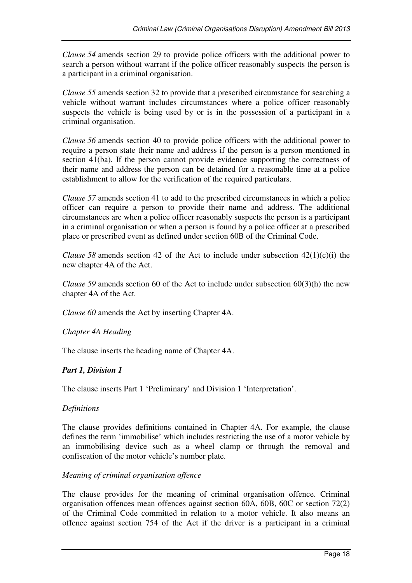*Clause 54* amends section 29 to provide police officers with the additional power to search a person without warrant if the police officer reasonably suspects the person is a participant in a criminal organisation.

*Clause 55* amends section 32 to provide that a prescribed circumstance for searching a vehicle without warrant includes circumstances where a police officer reasonably suspects the vehicle is being used by or is in the possession of a participant in a criminal organisation.

*Clause 56* amends section 40 to provide police officers with the additional power to require a person state their name and address if the person is a person mentioned in section 41(ba). If the person cannot provide evidence supporting the correctness of their name and address the person can be detained for a reasonable time at a police establishment to allow for the verification of the required particulars.

*Clause 57* amends section 41 to add to the prescribed circumstances in which a police officer can require a person to provide their name and address. The additional circumstances are when a police officer reasonably suspects the person is a participant in a criminal organisation or when a person is found by a police officer at a prescribed place or prescribed event as defined under section 60B of the Criminal Code.

*Clause* 58 amends section 42 of the Act to include under subsection  $42(1)(c)(i)$  the new chapter 4A of the Act.

*Clause 59* amends section 60 of the Act to include under subsection 60(3)(h) the new chapter 4A of the Act*.*

*Clause 60* amends the Act by inserting Chapter 4A.

*Chapter 4A Heading* 

The clause inserts the heading name of Chapter 4A.

#### *Part 1, Division 1*

The clause inserts Part 1 'Preliminary' and Division 1 'Interpretation'.

#### *Definitions*

The clause provides definitions contained in Chapter 4A. For example, the clause defines the term 'immobilise' which includes restricting the use of a motor vehicle by an immobilising device such as a wheel clamp or through the removal and confiscation of the motor vehicle's number plate.

#### *Meaning of criminal organisation offence*

The clause provides for the meaning of criminal organisation offence. Criminal organisation offences mean offences against section 60A, 60B, 60C or section 72(2) of the Criminal Code committed in relation to a motor vehicle. It also means an offence against section 754 of the Act if the driver is a participant in a criminal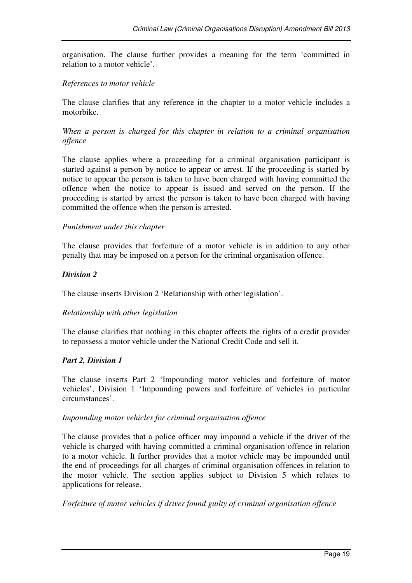organisation. The clause further provides a meaning for the term 'committed in relation to a motor vehicle'.

#### *References to motor vehicle*

The clause clarifies that any reference in the chapter to a motor vehicle includes a motorbike.

*When a person is charged for this chapter in relation to a criminal organisation offence* 

The clause applies where a proceeding for a criminal organisation participant is started against a person by notice to appear or arrest. If the proceeding is started by notice to appear the person is taken to have been charged with having committed the offence when the notice to appear is issued and served on the person. If the proceeding is started by arrest the person is taken to have been charged with having committed the offence when the person is arrested.

#### *Punishment under this chapter*

The clause provides that forfeiture of a motor vehicle is in addition to any other penalty that may be imposed on a person for the criminal organisation offence.

#### *Division 2*

The clause inserts Division 2 'Relationship with other legislation'.

#### *Relationship with other legislation*

The clause clarifies that nothing in this chapter affects the rights of a credit provider to repossess a motor vehicle under the National Credit Code and sell it.

#### *Part 2, Division 1*

The clause inserts Part 2 'Impounding motor vehicles and forfeiture of motor vehicles', Division 1 'Impounding powers and forfeiture of vehicles in particular circumstances'.

#### *Impounding motor vehicles for criminal organisation offence*

The clause provides that a police officer may impound a vehicle if the driver of the vehicle is charged with having committed a criminal organisation offence in relation to a motor vehicle. It further provides that a motor vehicle may be impounded until the end of proceedings for all charges of criminal organisation offences in relation to the motor vehicle. The section applies subject to Division 5 which relates to applications for release.

#### *Forfeiture of motor vehicles if driver found guilty of criminal organisation offence*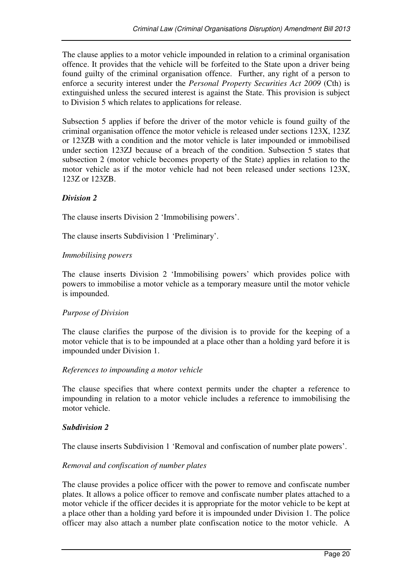The clause applies to a motor vehicle impounded in relation to a criminal organisation offence. It provides that the vehicle will be forfeited to the State upon a driver being found guilty of the criminal organisation offence. Further, any right of a person to enforce a security interest under the *Personal Property Securities Act 2009* (Cth) is extinguished unless the secured interest is against the State. This provision is subject to Division 5 which relates to applications for release.

Subsection 5 applies if before the driver of the motor vehicle is found guilty of the criminal organisation offence the motor vehicle is released under sections 123X, 123Z or 123ZB with a condition and the motor vehicle is later impounded or immobilised under section 123ZJ because of a breach of the condition. Subsection 5 states that subsection 2 (motor vehicle becomes property of the State) applies in relation to the motor vehicle as if the motor vehicle had not been released under sections 123X, 123Z or 123ZB.

#### *Division 2*

The clause inserts Division 2 'Immobilising powers'.

The clause inserts Subdivision 1 'Preliminary'.

#### *Immobilising powers*

The clause inserts Division 2 'Immobilising powers' which provides police with powers to immobilise a motor vehicle as a temporary measure until the motor vehicle is impounded.

#### *Purpose of Division*

The clause clarifies the purpose of the division is to provide for the keeping of a motor vehicle that is to be impounded at a place other than a holding yard before it is impounded under Division 1.

#### *References to impounding a motor vehicle*

The clause specifies that where context permits under the chapter a reference to impounding in relation to a motor vehicle includes a reference to immobilising the motor vehicle.

#### *Subdivision 2*

The clause inserts Subdivision 1 'Removal and confiscation of number plate powers'.

#### *Removal and confiscation of number plates*

The clause provides a police officer with the power to remove and confiscate number plates. It allows a police officer to remove and confiscate number plates attached to a motor vehicle if the officer decides it is appropriate for the motor vehicle to be kept at a place other than a holding yard before it is impounded under Division 1. The police officer may also attach a number plate confiscation notice to the motor vehicle. A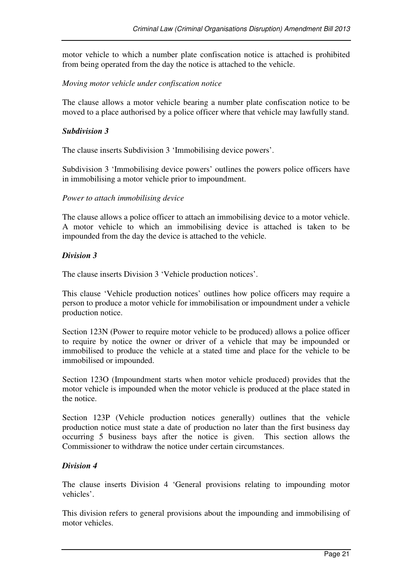motor vehicle to which a number plate confiscation notice is attached is prohibited from being operated from the day the notice is attached to the vehicle.

#### *Moving motor vehicle under confiscation notice*

The clause allows a motor vehicle bearing a number plate confiscation notice to be moved to a place authorised by a police officer where that vehicle may lawfully stand.

#### *Subdivision 3*

The clause inserts Subdivision 3 'Immobilising device powers'.

Subdivision 3 'Immobilising device powers' outlines the powers police officers have in immobilising a motor vehicle prior to impoundment.

#### *Power to attach immobilising device*

The clause allows a police officer to attach an immobilising device to a motor vehicle. A motor vehicle to which an immobilising device is attached is taken to be impounded from the day the device is attached to the vehicle.

#### *Division 3*

The clause inserts Division 3 'Vehicle production notices'.

This clause 'Vehicle production notices' outlines how police officers may require a person to produce a motor vehicle for immobilisation or impoundment under a vehicle production notice.

Section 123N (Power to require motor vehicle to be produced) allows a police officer to require by notice the owner or driver of a vehicle that may be impounded or immobilised to produce the vehicle at a stated time and place for the vehicle to be immobilised or impounded.

Section 123O (Impoundment starts when motor vehicle produced) provides that the motor vehicle is impounded when the motor vehicle is produced at the place stated in the notice.

Section 123P (Vehicle production notices generally) outlines that the vehicle production notice must state a date of production no later than the first business day occurring 5 business bays after the notice is given. This section allows the Commissioner to withdraw the notice under certain circumstances.

#### *Division 4*

The clause inserts Division 4 'General provisions relating to impounding motor vehicles'.

This division refers to general provisions about the impounding and immobilising of motor vehicles.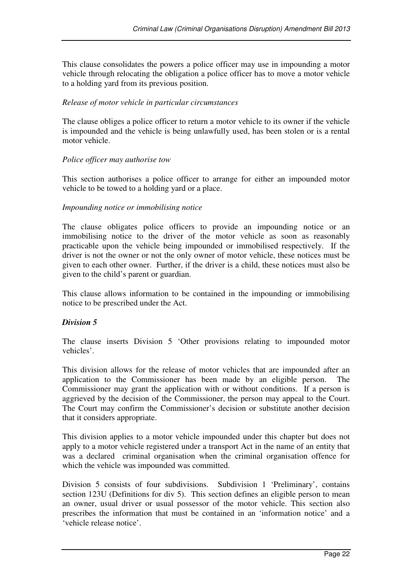This clause consolidates the powers a police officer may use in impounding a motor vehicle through relocating the obligation a police officer has to move a motor vehicle to a holding yard from its previous position.

#### *Release of motor vehicle in particular circumstances*

The clause obliges a police officer to return a motor vehicle to its owner if the vehicle is impounded and the vehicle is being unlawfully used, has been stolen or is a rental motor vehicle.

#### *Police officer may authorise tow*

This section authorises a police officer to arrange for either an impounded motor vehicle to be towed to a holding yard or a place.

#### *Impounding notice or immobilising notice*

The clause obligates police officers to provide an impounding notice or an immobilising notice to the driver of the motor vehicle as soon as reasonably practicable upon the vehicle being impounded or immobilised respectively. If the driver is not the owner or not the only owner of motor vehicle, these notices must be given to each other owner. Further, if the driver is a child, these notices must also be given to the child's parent or guardian.

This clause allows information to be contained in the impounding or immobilising notice to be prescribed under the Act.

#### *Division 5*

The clause inserts Division 5 'Other provisions relating to impounded motor vehicles'.

This division allows for the release of motor vehicles that are impounded after an application to the Commissioner has been made by an eligible person. The Commissioner may grant the application with or without conditions. If a person is aggrieved by the decision of the Commissioner, the person may appeal to the Court. The Court may confirm the Commissioner's decision or substitute another decision that it considers appropriate.

This division applies to a motor vehicle impounded under this chapter but does not apply to a motor vehicle registered under a transport Act in the name of an entity that was a declared criminal organisation when the criminal organisation offence for which the vehicle was impounded was committed.

Division 5 consists of four subdivisions. Subdivision 1 'Preliminary', contains section 123U (Definitions for div 5). This section defines an eligible person to mean an owner, usual driver or usual possessor of the motor vehicle. This section also prescribes the information that must be contained in an 'information notice' and a 'vehicle release notice'.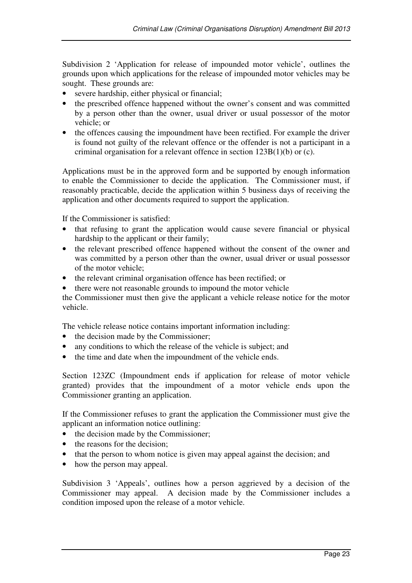Subdivision 2 'Application for release of impounded motor vehicle', outlines the grounds upon which applications for the release of impounded motor vehicles may be sought. These grounds are:

- severe hardship, either physical or financial;
- the prescribed offence happened without the owner's consent and was committed by a person other than the owner, usual driver or usual possessor of the motor vehicle; or
- the offences causing the impoundment have been rectified. For example the driver is found not guilty of the relevant offence or the offender is not a participant in a criminal organisation for a relevant offence in section 123B(1)(b) or (c).

Applications must be in the approved form and be supported by enough information to enable the Commissioner to decide the application. The Commissioner must, if reasonably practicable, decide the application within 5 business days of receiving the application and other documents required to support the application.

If the Commissioner is satisfied:

- that refusing to grant the application would cause severe financial or physical hardship to the applicant or their family;
- the relevant prescribed offence happened without the consent of the owner and was committed by a person other than the owner, usual driver or usual possessor of the motor vehicle;
- the relevant criminal organisation offence has been rectified; or
- there were not reasonable grounds to impound the motor vehicle

the Commissioner must then give the applicant a vehicle release notice for the motor vehicle.

The vehicle release notice contains important information including:

- the decision made by the Commissioner;
- any conditions to which the release of the vehicle is subject; and
- the time and date when the impoundment of the vehicle ends.

Section 123ZC (Impoundment ends if application for release of motor vehicle granted) provides that the impoundment of a motor vehicle ends upon the Commissioner granting an application.

If the Commissioner refuses to grant the application the Commissioner must give the applicant an information notice outlining:

- the decision made by the Commissioner;
- the reasons for the decision;
- that the person to whom notice is given may appeal against the decision; and
- how the person may appeal.

Subdivision 3 'Appeals', outlines how a person aggrieved by a decision of the Commissioner may appeal. A decision made by the Commissioner includes a condition imposed upon the release of a motor vehicle.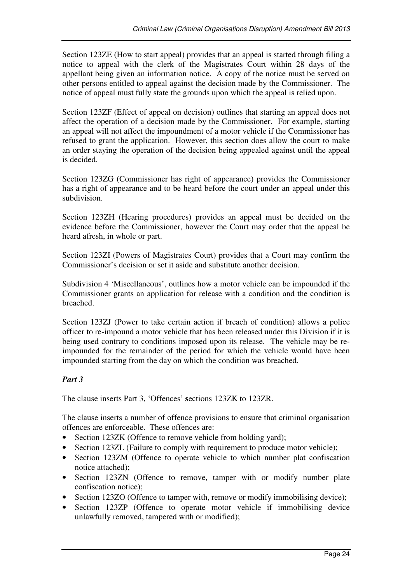Section 123ZE (How to start appeal) provides that an appeal is started through filing a notice to appeal with the clerk of the Magistrates Court within 28 days of the appellant being given an information notice. A copy of the notice must be served on other persons entitled to appeal against the decision made by the Commissioner. The notice of appeal must fully state the grounds upon which the appeal is relied upon.

Section 123ZF (Effect of appeal on decision) outlines that starting an appeal does not affect the operation of a decision made by the Commissioner. For example, starting an appeal will not affect the impoundment of a motor vehicle if the Commissioner has refused to grant the application. However, this section does allow the court to make an order staying the operation of the decision being appealed against until the appeal is decided.

Section 123ZG (Commissioner has right of appearance) provides the Commissioner has a right of appearance and to be heard before the court under an appeal under this subdivision.

Section 123ZH (Hearing procedures) provides an appeal must be decided on the evidence before the Commissioner, however the Court may order that the appeal be heard afresh, in whole or part.

Section 123ZI (Powers of Magistrates Court) provides that a Court may confirm the Commissioner's decision or set it aside and substitute another decision.

Subdivision 4 'Miscellaneous', outlines how a motor vehicle can be impounded if the Commissioner grants an application for release with a condition and the condition is breached.

Section 123ZJ (Power to take certain action if breach of condition) allows a police officer to re-impound a motor vehicle that has been released under this Division if it is being used contrary to conditions imposed upon its release. The vehicle may be reimpounded for the remainder of the period for which the vehicle would have been impounded starting from the day on which the condition was breached.

#### *Part 3*

The clause inserts Part 3, 'Offences' **s**ections 123ZK to 123ZR.

The clause inserts a number of offence provisions to ensure that criminal organisation offences are enforceable. These offences are:

- Section 123ZK (Offence to remove vehicle from holding yard);
- Section 123ZL (Failure to comply with requirement to produce motor vehicle);
- Section 123ZM (Offence to operate vehicle to which number plat confiscation notice attached);
- Section 123ZN (Offence to remove, tamper with or modify number plate confiscation notice);
- Section 123ZO (Offence to tamper with, remove or modify immobilising device);
- Section 123ZP (Offence to operate motor vehicle if immobilising device unlawfully removed, tampered with or modified);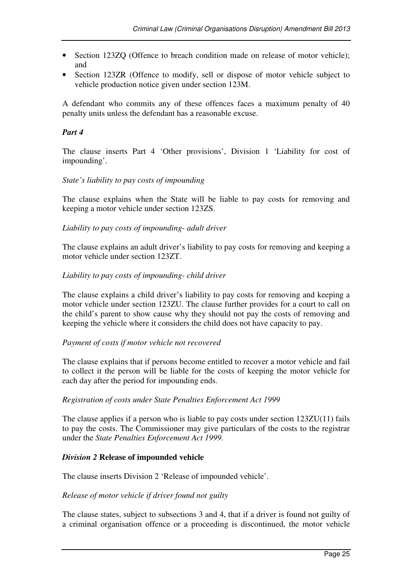- Section 123ZQ (Offence to breach condition made on release of motor vehicle); and
- Section 123ZR (Offence to modify, sell or dispose of motor vehicle subject to vehicle production notice given under section 123M.

A defendant who commits any of these offences faces a maximum penalty of 40 penalty units unless the defendant has a reasonable excuse.

#### *Part 4*

The clause inserts Part 4 'Other provisions', Division 1 'Liability for cost of impounding'.

#### *State's liability to pay costs of impounding*

The clause explains when the State will be liable to pay costs for removing and keeping a motor vehicle under section 123ZS.

#### *Liability to pay costs of impounding- adult driver*

The clause explains an adult driver's liability to pay costs for removing and keeping a motor vehicle under section 123ZT.

#### *Liability to pay costs of impounding- child driver*

The clause explains a child driver's liability to pay costs for removing and keeping a motor vehicle under section 123ZU. The clause further provides for a court to call on the child's parent to show cause why they should not pay the costs of removing and keeping the vehicle where it considers the child does not have capacity to pay.

#### *Payment of costs if motor vehicle not recovered*

The clause explains that if persons become entitled to recover a motor vehicle and fail to collect it the person will be liable for the costs of keeping the motor vehicle for each day after the period for impounding ends.

#### *Registration of costs under State Penalties Enforcement Act 1999*

The clause applies if a person who is liable to pay costs under section 123ZU(11) fails to pay the costs. The Commissioner may give particulars of the costs to the registrar under the *State Penalties Enforcement Act 1999*.

#### *Division 2* **Release of impounded vehicle**

The clause inserts Division 2 'Release of impounded vehicle'.

#### *Release of motor vehicle if driver found not guilty*

The clause states, subject to subsections 3 and 4, that if a driver is found not guilty of a criminal organisation offence or a proceeding is discontinued, the motor vehicle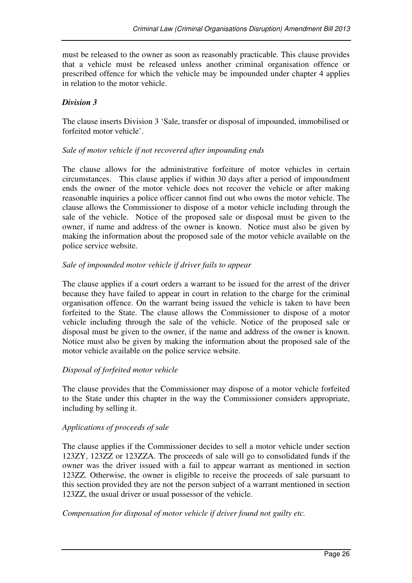must be released to the owner as soon as reasonably practicable. This clause provides that a vehicle must be released unless another criminal organisation offence or prescribed offence for which the vehicle may be impounded under chapter 4 applies in relation to the motor vehicle.

#### *Division 3*

The clause inserts Division 3 'Sale, transfer or disposal of impounded, immobilised or forfeited motor vehicle'.

#### *Sale of motor vehicle if not recovered after impounding ends*

The clause allows for the administrative forfeiture of motor vehicles in certain circumstances. This clause applies if within 30 days after a period of impoundment ends the owner of the motor vehicle does not recover the vehicle or after making reasonable inquiries a police officer cannot find out who owns the motor vehicle. The clause allows the Commissioner to dispose of a motor vehicle including through the sale of the vehicle. Notice of the proposed sale or disposal must be given to the owner, if name and address of the owner is known. Notice must also be given by making the information about the proposed sale of the motor vehicle available on the police service website.

#### *Sale of impounded motor vehicle if driver fails to appear*

The clause applies if a court orders a warrant to be issued for the arrest of the driver because they have failed to appear in court in relation to the charge for the criminal organisation offence. On the warrant being issued the vehicle is taken to have been forfeited to the State. The clause allows the Commissioner to dispose of a motor vehicle including through the sale of the vehicle. Notice of the proposed sale or disposal must be given to the owner, if the name and address of the owner is known. Notice must also be given by making the information about the proposed sale of the motor vehicle available on the police service website.

#### *Disposal of forfeited motor vehicle*

The clause provides that the Commissioner may dispose of a motor vehicle forfeited to the State under this chapter in the way the Commissioner considers appropriate, including by selling it.

#### *Applications of proceeds of sale*

The clause applies if the Commissioner decides to sell a motor vehicle under section 123ZY, 123ZZ or 123ZZA. The proceeds of sale will go to consolidated funds if the owner was the driver issued with a fail to appear warrant as mentioned in section 123ZZ. Otherwise, the owner is eligible to receive the proceeds of sale pursuant to this section provided they are not the person subject of a warrant mentioned in section 123ZZ, the usual driver or usual possessor of the vehicle.

#### *Compensation for disposal of motor vehicle if driver found not guilty etc.*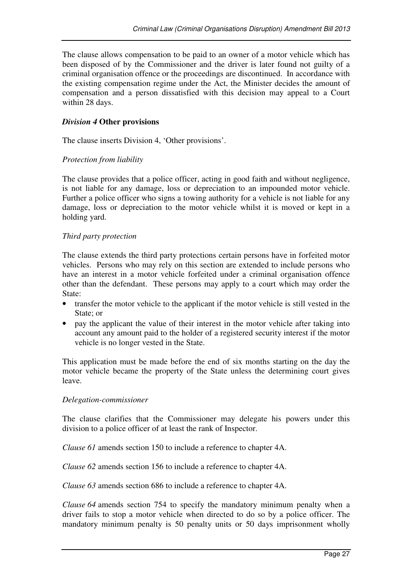The clause allows compensation to be paid to an owner of a motor vehicle which has been disposed of by the Commissioner and the driver is later found not guilty of a criminal organisation offence or the proceedings are discontinued. In accordance with the existing compensation regime under the Act, the Minister decides the amount of compensation and a person dissatisfied with this decision may appeal to a Court within 28 days.

#### *Division 4* **Other provisions**

The clause inserts Division 4, 'Other provisions'.

#### *Protection from liability*

The clause provides that a police officer, acting in good faith and without negligence, is not liable for any damage, loss or depreciation to an impounded motor vehicle. Further a police officer who signs a towing authority for a vehicle is not liable for any damage, loss or depreciation to the motor vehicle whilst it is moved or kept in a holding yard.

#### *Third party protection*

The clause extends the third party protections certain persons have in forfeited motor vehicles. Persons who may rely on this section are extended to include persons who have an interest in a motor vehicle forfeited under a criminal organisation offence other than the defendant. These persons may apply to a court which may order the State:

- transfer the motor vehicle to the applicant if the motor vehicle is still vested in the State; or
- pay the applicant the value of their interest in the motor vehicle after taking into account any amount paid to the holder of a registered security interest if the motor vehicle is no longer vested in the State.

This application must be made before the end of six months starting on the day the motor vehicle became the property of the State unless the determining court gives leave.

#### *Delegation-commissioner*

The clause clarifies that the Commissioner may delegate his powers under this division to a police officer of at least the rank of Inspector.

*Clause 61* amends section 150 to include a reference to chapter 4A.

*Clause 62* amends section 156 to include a reference to chapter 4A.

*Clause 63* amends section 686 to include a reference to chapter 4A.

*Clause 64* amends section 754 to specify the mandatory minimum penalty when a driver fails to stop a motor vehicle when directed to do so by a police officer. The mandatory minimum penalty is 50 penalty units or 50 days imprisonment wholly